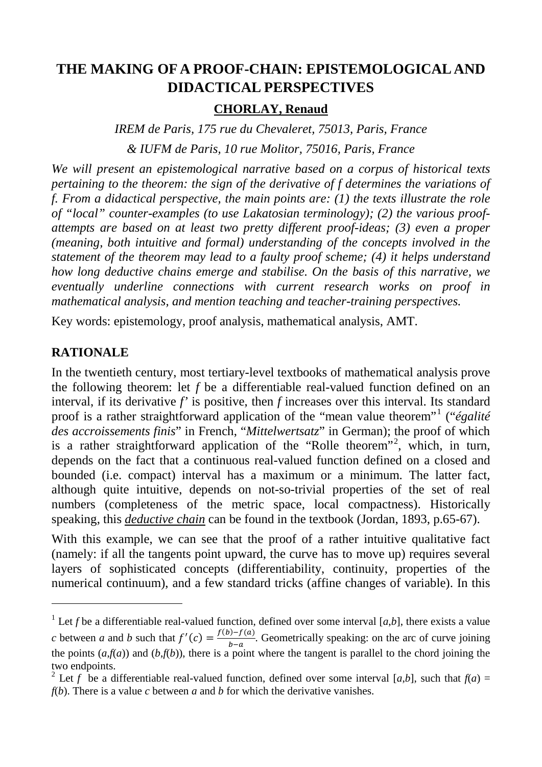# **THE MAKING OF A PROOF-CHAIN: EPISTEMOLOGICAL AND DIDACTICAL PERSPECTIVES**

### **CHORLAY, Renaud**

*IREM de Paris, 175 rue du Chevaleret, 75013, Paris, France*

*& IUFM de Paris, 10 rue Molitor, 75016, Paris, France*

*We will present an epistemological narrative based on a corpus of historical texts pertaining to the theorem: the sign of the derivative of f determines the variations of f. From a didactical perspective, the main points are: (1) the texts illustrate the role of "local" counter-examples (to use Lakatosian terminology); (2) the various proofattempts are based on at least two pretty different proof-ideas; (3) even a proper (meaning, both intuitive and formal) understanding of the concepts involved in the statement of the theorem may lead to a faulty proof scheme; (4) it helps understand how long deductive chains emerge and stabilise. On the basis of this narrative, we eventually underline connections with current research works on proof in mathematical analysis, and mention teaching and teacher-training perspectives.*

Key words: epistemology, proof analysis, mathematical analysis, AMT.

## **RATIONALE**

-

In the twentieth century, most tertiary-level textbooks of mathematical analysis prove the following theorem: let *f* be a differentiable real-valued function defined on an interval, if its derivative *f'* is positive, then *f* increases over this interval. Its standard proof is a rather straightforward application of the "mean value theorem"[1](#page-0-0) ("*égalité des accroissements finis*" in French, "*Mittelwertsatz*" in German); the proof of which is a rather straightforward application of the "Rolle theorem"<sup>[2](#page-0-1)</sup>, which, in turn, depends on the fact that a continuous real-valued function defined on a closed and bounded (i.e. compact) interval has a maximum or a minimum. The latter fact, although quite intuitive, depends on not-so-trivial properties of the set of real numbers (completeness of the metric space, local compactness). Historically speaking, this *deductive chain* can be found in the textbook (Jordan, 1893, p.65-67).

With this example, we can see that the proof of a rather intuitive qualitative fact (namely: if all the tangents point upward, the curve has to move up) requires several layers of sophisticated concepts (differentiability, continuity, properties of the numerical continuum), and a few standard tricks (affine changes of variable). In this

<span id="page-0-0"></span><sup>&</sup>lt;sup>1</sup> Let *f* be a differentiable real-valued function, defined over some interval [ $a,b$ ], there exists a value *c* between *a* and *b* such that  $f'(c) = \frac{f(b)-f(a)}{b-a}$ . Geometrically speaking: on the arc of curve joining the points  $(a,f(a))$  and  $(b,f(b))$ , there is a point where the tangent is parallel to the chord joining the two endpoints.

<span id="page-0-1"></span><sup>&</sup>lt;sup>2</sup> Let *f* be a differentiable real-valued function, defined over some interval [a,b], such that  $f(a) =$ *f*(*b*). There is a value *c* between *a* and *b* for which the derivative vanishes.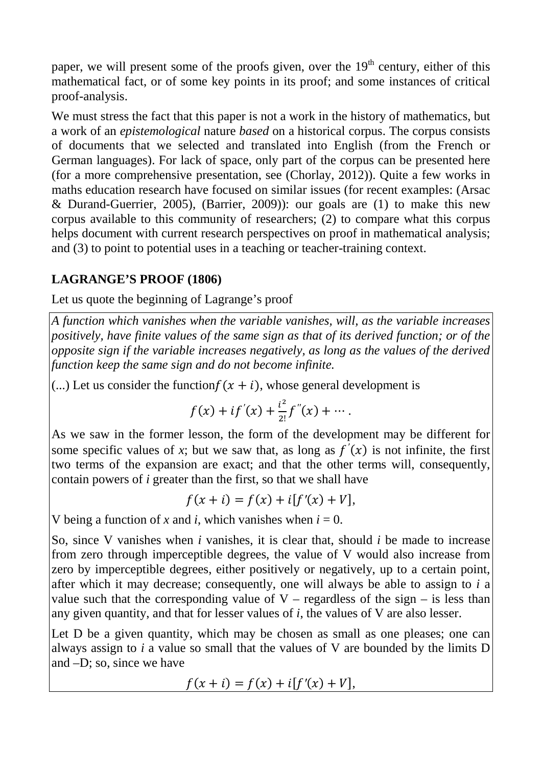paper, we will present some of the proofs given, over the  $19<sup>th</sup>$  century, either of this mathematical fact, or of some key points in its proof; and some instances of critical proof-analysis.

We must stress the fact that this paper is not a work in the history of mathematics, but a work of an *epistemological* nature *based* on a historical corpus. The corpus consists of documents that we selected and translated into English (from the French or German languages). For lack of space, only part of the corpus can be presented here (for a more comprehensive presentation, see (Chorlay, 2012)). Quite a few works in maths education research have focused on similar issues (for recent examples: (Arsac & Durand-Guerrier, 2005), (Barrier, 2009)): our goals are (1) to make this new corpus available to this community of researchers; (2) to compare what this corpus helps document with current research perspectives on proof in mathematical analysis; and (3) to point to potential uses in a teaching or teacher-training context.

## **LAGRANGE'S PROOF (1806)**

Let us quote the beginning of Lagrange's proof

*A function which vanishes when the variable vanishes, will, as the variable increases positively, have finite values of the same sign as that of its derived function; or of the opposite sign if the variable increases negatively, as long as the values of the derived function keep the same sign and do not become infinite.*

(...) Let us consider the function  $f(x + i)$ , whose general development is

$$
f(x) + if'(x) + \frac{i^2}{2!}f''(x) + \cdots
$$

As we saw in the former lesson, the form of the development may be different for some specific values of *x*; but we saw that, as long as  $f'(x)$  is not infinite, the first two terms of the expansion are exact; and that the other terms will, consequently, contain powers of *i* greater than the first, so that we shall have

$$
f(x + i) = f(x) + i[f'(x) + V],
$$

V being a function of x and *i*, which vanishes when  $i = 0$ .

So, since V vanishes when *i* vanishes, it is clear that, should *i* be made to increase from zero through imperceptible degrees, the value of V would also increase from zero by imperceptible degrees, either positively or negatively, up to a certain point, after which it may decrease; consequently, one will always be able to assign to *i* a value such that the corresponding value of  $V$  – regardless of the sign – is less than any given quantity, and that for lesser values of *i*, the values of V are also lesser.

Let D be a given quantity, which may be chosen as small as one pleases; one can always assign to *i* a value so small that the values of V are bounded by the limits D and –D; so, since we have

$$
f(x + i) = f(x) + i[f'(x) + V],
$$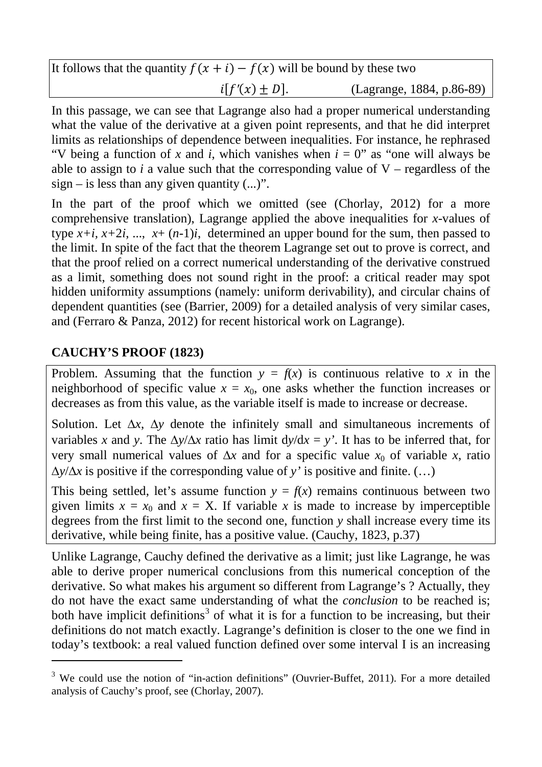| It follows that the quantity $f(x + i) - f(x)$ will be bound by these two |                   |                           |
|---------------------------------------------------------------------------|-------------------|---------------------------|
|                                                                           | $i[f'(x) \pm D].$ | (Lagrange, 1884, p.86-89) |

In this passage, we can see that Lagrange also had a proper numerical understanding what the value of the derivative at a given point represents, and that he did interpret limits as relationships of dependence between inequalities. For instance, he rephrased "V being a function of *x* and *i*, which vanishes when  $i = 0$ " as "one will always be able to assign to  $i$  a value such that the corresponding value of  $V$  – regardless of the  $sign - is less than any given quantity (...)$ .

In the part of the proof which we omitted (see (Chorlay, 2012) for a more comprehensive translation), Lagrange applied the above inequalities for *x*-values of type  $x+i$ ,  $x+2i$ , ...,  $x+(n-1)i$ , determined an upper bound for the sum, then passed to the limit. In spite of the fact that the theorem Lagrange set out to prove is correct, and that the proof relied on a correct numerical understanding of the derivative construed as a limit, something does not sound right in the proof: a critical reader may spot hidden uniformity assumptions (namely: uniform derivability), and circular chains of dependent quantities (see (Barrier, 2009) for a detailed analysis of very similar cases, and (Ferraro & Panza, 2012) for recent historical work on Lagrange).

## **CAUCHY'S PROOF (1823)**

-

Problem. Assuming that the function  $y = f(x)$  is continuous relative to x in the neighborhood of specific value  $x = x_0$ , one asks whether the function increases or decreases as from this value, as the variable itself is made to increase or decrease.

Solution. Let ∆*x*, ∆*y* denote the infinitely small and simultaneous increments of variables *x* and *y*. The  $\Delta y/\Delta x$  ratio has limit  $dy/dx = y'$ . It has to be inferred that, for very small numerical values of  $\Delta x$  and for a specific value  $x_0$  of variable *x*, ratio ∆*y*/∆*x* is positive if the corresponding value of *y'* is positive and finite. (…)

This being settled, let's assume function  $y = f(x)$  remains continuous between two given limits  $x = x_0$  and  $x = X$ . If variable x is made to increase by imperceptible degrees from the first limit to the second one, function *y* shall increase every time its derivative, while being finite, has a positive value. (Cauchy, 1823, p.37)

Unlike Lagrange, Cauchy defined the derivative as a limit; just like Lagrange, he was able to derive proper numerical conclusions from this numerical conception of the derivative. So what makes his argument so different from Lagrange's ? Actually, they do not have the exact same understanding of what the *conclusion* to be reached is; both have implicit definitions<sup>[3](#page-2-0)</sup> of what it is for a function to be increasing, but their definitions do not match exactly. Lagrange's definition is closer to the one we find in today's textbook: a real valued function defined over some interval I is an increasing

<span id="page-2-0"></span> $3$  We could use the notion of "in-action definitions" (Ouvrier-Buffet, 2011). For a more detailed analysis of Cauchy's proof, see (Chorlay, 2007).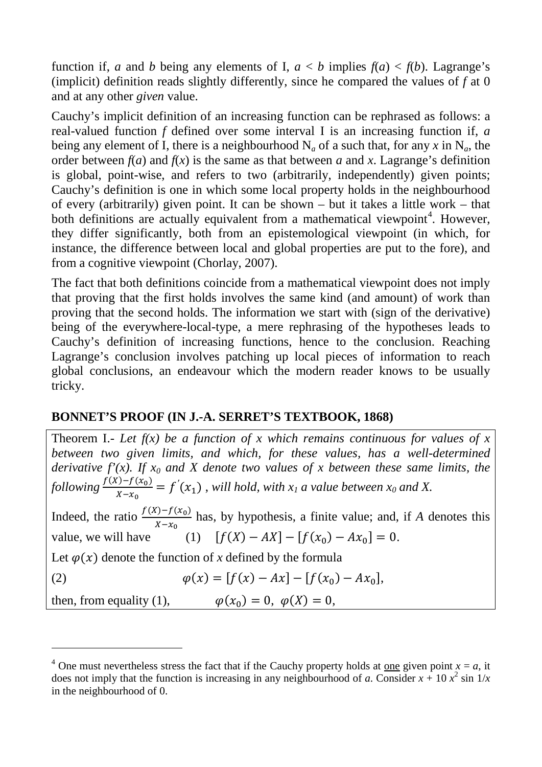function if, *a* and *b* being any elements of I,  $a < b$  implies  $f(a) < f(b)$ . Lagrange's (implicit) definition reads slightly differently, since he compared the values of *f* at 0 and at any other *given* value.

Cauchy's implicit definition of an increasing function can be rephrased as follows: a real-valued function *f* defined over some interval I is an increasing function if, *a* being any element of I, there is a neighbourhood  $N_a$  of a such that, for any x in  $N_a$ , the order between  $f(a)$  and  $f(x)$  is the same as that between *a* and *x*. Lagrange's definition is global, point-wise, and refers to two (arbitrarily, independently) given points; Cauchy's definition is one in which some local property holds in the neighbourhood of every (arbitrarily) given point. It can be shown – but it takes a little work – that both definitions are actually equivalent from a mathematical viewpoint<sup>[4](#page-3-0)</sup>. However, they differ significantly, both from an epistemological viewpoint (in which, for instance, the difference between local and global properties are put to the fore), and from a cognitive viewpoint (Chorlay, 2007).

The fact that both definitions coincide from a mathematical viewpoint does not imply that proving that the first holds involves the same kind (and amount) of work than proving that the second holds. The information we start with (sign of the derivative) being of the everywhere-local-type, a mere rephrasing of the hypotheses leads to Cauchy's definition of increasing functions, hence to the conclusion. Reaching Lagrange's conclusion involves patching up local pieces of information to reach global conclusions, an endeavour which the modern reader knows to be usually tricky.

## **BONNET'S PROOF (IN J.-A. SERRET'S TEXTBOOK, 1868)**

-

Theorem I.- Let  $f(x)$  be a function of x which remains continuous for values of x *between two given limits, and which, for these values, has a well-determined derivative f'(x). If*  $x_0$  *and X denote two values of x between these same limits, the following*  $\frac{f(X)-f(x_0)}{x}$  $\frac{(1-f(x_0))}{x-x_0} = f'(x_1)$ , *will hold, with*  $x_1$  *a value between*  $x_0$  *and* X. Indeed, the ratio  $\frac{f(X)-f(x_0)}{x-x_0}$  $x-x_0$ has, by hypothesis, a finite value; and, if *A* denotes this value, we will have  $[f(X) - AX] - [f(x_0) - Ax_0] = 0.$ Let  $\varphi(x)$  denote the function of *x* defined by the formula (2)  $\varphi(x) = [f(x) - Ax] - [f(x_0) - Ax_0],$ then, from equality (1),  $\varphi(x_0) = 0, \ \varphi(X) = 0$ ,

<span id="page-3-0"></span><sup>&</sup>lt;sup>4</sup> One must nevertheless stress the fact that if the Cauchy property holds at one given point  $x = a$ , it does not imply that the function is increasing in any neighbourhood of *a*. Consider  $x + 10x^2 \sin(1/x)$ in the neighbourhood of 0.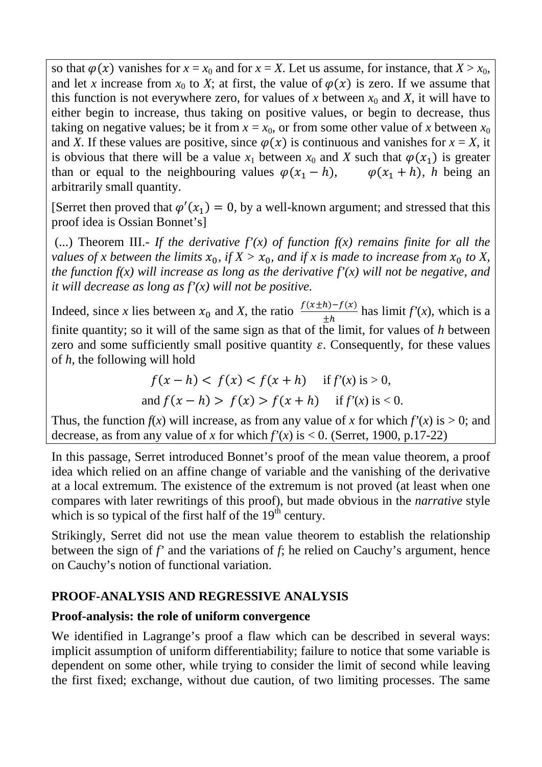so that  $\varphi(x)$  vanishes for  $x = x_0$  and for  $x = X$ . Let us assume, for instance, that  $X > x_0$ , and let *x* increase from  $x_0$  to *X*; at first, the value of  $\varphi(x)$  is zero. If we assume that this function is not everywhere zero, for values of x between  $x_0$  and X, it will have to either begin to increase, thus taking on positive values, or begin to decrease, thus taking on negative values; be it from  $x = x_0$ , or from some other value of x between  $x_0$ and *X*. If these values are positive, since  $\varphi(x)$  is continuous and vanishes for  $x = X$ , it is obvious that there will be a value  $x_1$  between  $x_0$  and X such that  $\varphi(x_1)$  is greater than or equal to the neighbouring values  $\varphi(x_1 - h)$ ,  $\varphi(x_1 + h)$ , *h* being an arbitrarily small quantity.

[Serret then proved that  $\varphi'(x_1) = 0$ , by a well-known argument; and stressed that this proof idea is Ossian Bonnet's]

(...) Theorem III.- If the derivative  $f'(x)$  of function  $f(x)$  remains finite for all the *values of x between the limits*  $x_0$ , *if*  $X > x_0$ , *and if x is made to increase from*  $x_0$  *to* X, *the function f(x) will increase as long as the derivative f'(x) will not be negative, and it will decrease as long as f'(x) will not be positive.*

Indeed, since *x* lies between  $x_0$  and *X*, the ratio  $\frac{f(x \pm h)-f(x)}{h}$  $\pm h$ has  $\lim_{x \to \infty} f'(x)$ , which is a finite quantity; so it will of the same sign as that of the limit, for values of *h* between zero and some sufficiently small positive quantity  $\varepsilon$ . Consequently, for these values of *h*, the following will hold

$$
f(x - h) < f(x) < f(x + h)
$$
 if  $f'(x)$  is > 0,  
and  $f(x - h) > f(x) > f(x + h)$  if  $f'(x)$  is < 0.

Thus, the function  $f(x)$  will increase, as from any value of x for which  $f'(x)$  is  $> 0$ ; and decrease, as from any value of *x* for which  $f'(x)$  is < 0. (Serret, 1900, p.17-22)

In this passage, Serret introduced Bonnet's proof of the mean value theorem, a proof idea which relied on an affine change of variable and the vanishing of the derivative at a local extremum. The existence of the extremum is not proved (at least when one compares with later rewritings of this proof), but made obvious in the *narrative* style which is so typical of the first half of the  $19<sup>th</sup>$  century.

Strikingly, Serret did not use the mean value theorem to establish the relationship between the sign of *f'* and the variations of *f*; he relied on Cauchy's argument, hence on Cauchy's notion of functional variation.

## **PROOF-ANALYSIS AND REGRESSIVE ANALYSIS**

#### **Proof-analysis: the role of uniform convergence**

We identified in Lagrange's proof a flaw which can be described in several ways: implicit assumption of uniform differentiability; failure to notice that some variable is dependent on some other, while trying to consider the limit of second while leaving the first fixed; exchange, without due caution, of two limiting processes. The same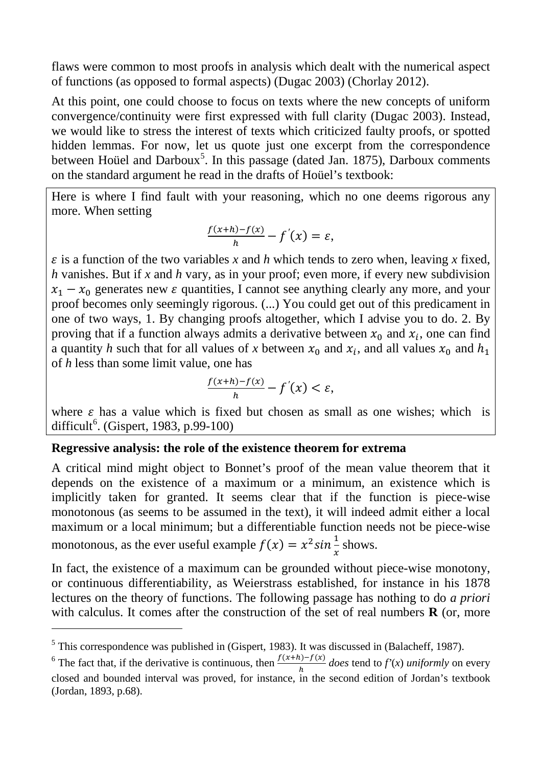flaws were common to most proofs in analysis which dealt with the numerical aspect of functions (as opposed to formal aspects) (Dugac 2003) (Chorlay 2012).

At this point, one could choose to focus on texts where the new concepts of uniform convergence/continuity were first expressed with full clarity (Dugac 2003). Instead, we would like to stress the interest of texts which criticized faulty proofs, or spotted hidden lemmas. For now, let us quote just one excerpt from the correspondence between Hoüel and Darboux<sup>[5](#page-5-0)</sup>. In this passage (dated Jan. 1875), Darboux comments on the standard argument he read in the drafts of Hoüel's textbook:

Here is where I find fault with your reasoning, which no one deems rigorous any more. When setting

$$
\frac{f(x+h)-f(x)}{h}-f'(x)=\varepsilon,
$$

 $\varepsilon$  is a function of the two variables *x* and *h* which tends to zero when, leaving *x* fixed, *h* vanishes. But if *x* and *h* vary, as in your proof; even more, if every new subdivision  $x_1 - x_0$  generates new  $\varepsilon$  quantities, I cannot see anything clearly any more, and your proof becomes only seemingly rigorous. (...) You could get out of this predicament in one of two ways, 1. By changing proofs altogether, which I advise you to do. 2. By proving that if a function always admits a derivative between  $x_0$  and  $x_i$ , one can find a quantity *h* such that for all values of *x* between  $x_0$  and  $x_i$ , and all values  $x_0$  and  $h_1$ of *h* less than some limit value, one has

$$
\frac{f(x+h)-f(x)}{h}-f'(x)<\varepsilon,
$$

where  $\varepsilon$  has a value which is fixed but chosen as small as one wishes; which is difficult<sup>[6](#page-5-1)</sup>. (Gispert, 1983, p.99-100)

#### **Regressive analysis: the role of the existence theorem for extrema**

A critical mind might object to Bonnet's proof of the mean value theorem that it depends on the existence of a maximum or a minimum, an existence which is implicitly taken for granted. It seems clear that if the function is piece-wise monotonous (as seems to be assumed in the text), it will indeed admit either a local maximum or a local minimum; but a differentiable function needs not be piece-wise monotonous, as the ever useful example  $f(x) = x^2 \sin \frac{1}{x}$ shows.

In fact, the existence of a maximum can be grounded without piece-wise monotony, or continuous differentiability, as Weierstrass established, for instance in his 1878 lectures on the theory of functions. The following passage has nothing to do *a priori* with calculus. It comes after the construction of the set of real numbers **R** (or, more

-

<span id="page-5-0"></span><sup>5</sup> This correspondence was published in (Gispert, 1983). It was discussed in (Balacheff, 1987).

<span id="page-5-1"></span><sup>&</sup>lt;sup>6</sup> The fact that, if the derivative is continuous, then  $\frac{f(x+h)-f(x)}{h}$  does tend to  $f'(x)$  *uniformly* on every closed and bounded interval was proved, for instance, in the second edition of Jordan's textbook (Jordan, 1893, p.68).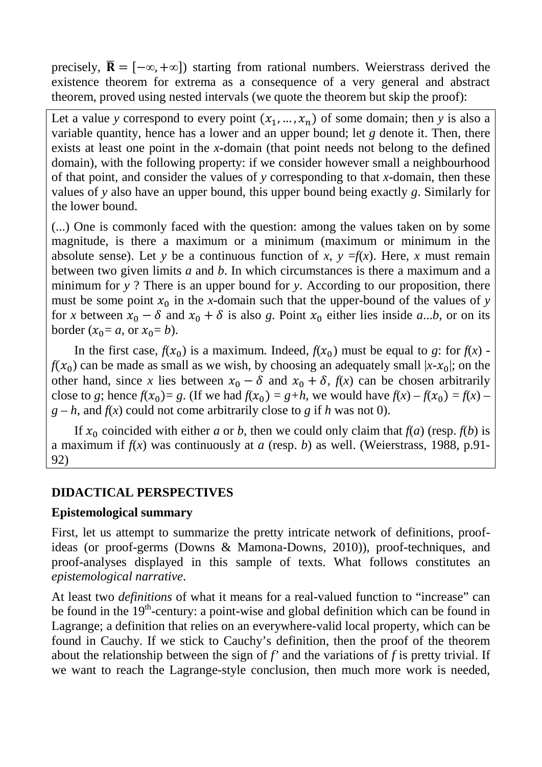precisely,  $\overline{\mathbf{R}} = [-\infty, +\infty]$  starting from rational numbers. Weierstrass derived the existence theorem for extrema as a consequence of a very general and abstract theorem, proved using nested intervals (we quote the theorem but skip the proof):

Let a value *y* correspond to every point  $(x_1, ..., x_n)$  of some domain; then *y* is also a variable quantity, hence has a lower and an upper bound; let *g* denote it. Then, there exists at least one point in the *x*-domain (that point needs not belong to the defined domain), with the following property: if we consider however small a neighbourhood of that point, and consider the values of *y* corresponding to that *x*-domain, then these values of *y* also have an upper bound, this upper bound being exactly *g*. Similarly for the lower bound.

(...) One is commonly faced with the question: among the values taken on by some magnitude, is there a maximum or a minimum (maximum or minimum in the absolute sense). Let *y* be a continuous function of *x*,  $y = f(x)$ . Here, *x* must remain between two given limits *a* and *b*. In which circumstances is there a maximum and a minimum for *y* ? There is an upper bound for *y*. According to our proposition, there must be some point  $x_0$  in the *x*-domain such that the upper-bound of the values of *y* for *x* between  $x_0 - \delta$  and  $x_0 + \delta$  is also *g*. Point  $x_0$  either lies inside *a*...*b*, or on its border  $(x_0 = a$ , or  $x_0 = b$ ).

In the first case,  $f(x_0)$  is a maximum. Indeed,  $f(x_0)$  must be equal to *g*: for  $f(x)$   $f(x_0)$  can be made as small as we wish, by choosing an adequately small  $|x-x_0|$ ; on the other hand, since *x* lies between  $x_0 - \delta$  and  $x_0 + \delta$ ,  $f(x)$  can be chosen arbitrarily close to *g*; hence  $f(x_0) = g$ . (If we had  $f(x_0) = g+h$ , we would have  $f(x) - f(x_0) = f(x) - f(x)$  $g - h$ , and  $f(x)$  could not come arbitrarily close to *g* if *h* was not 0).

If  $x_0$  coincided with either *a* or *b*, then we could only claim that  $f(a)$  (resp.  $f(b)$  is a maximum if  $f(x)$  was continuously at *a* (resp. *b*) as well. (Weierstrass, 1988, p.91-92)

#### **DIDACTICAL PERSPECTIVES**

#### **Epistemological summary**

First, let us attempt to summarize the pretty intricate network of definitions, proofideas (or proof-germs (Downs & Mamona-Downs, 2010)), proof-techniques, and proof-analyses displayed in this sample of texts. What follows constitutes an *epistemological narrative*.

At least two *definitions* of what it means for a real-valued function to "increase" can be found in the  $19<sup>th</sup>$ -century: a point-wise and global definition which can be found in Lagrange; a definition that relies on an everywhere-valid local property, which can be found in Cauchy. If we stick to Cauchy's definition, then the proof of the theorem about the relationship between the sign of *f'* and the variations of *f* is pretty trivial. If we want to reach the Lagrange-style conclusion, then much more work is needed,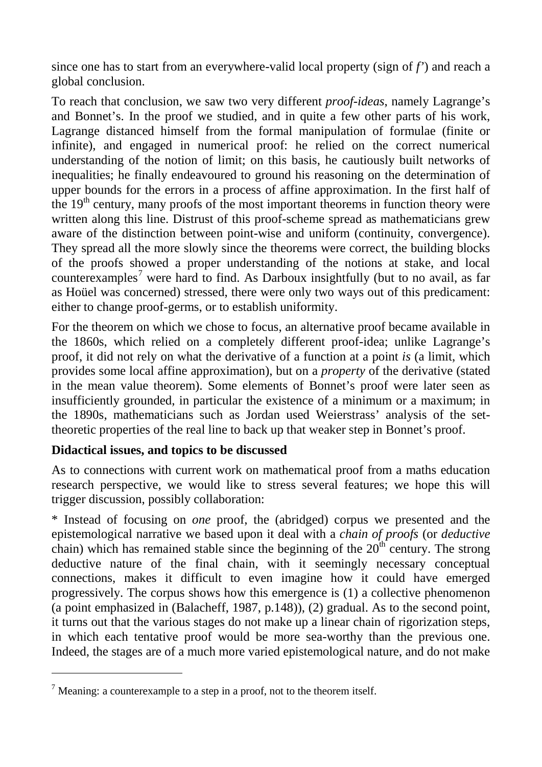since one has to start from an everywhere-valid local property (sign of *f'*) and reach a global conclusion.

To reach that conclusion, we saw two very different *proof-ideas*, namely Lagrange's and Bonnet's. In the proof we studied, and in quite a few other parts of his work, Lagrange distanced himself from the formal manipulation of formulae (finite or infinite), and engaged in numerical proof: he relied on the correct numerical understanding of the notion of limit; on this basis, he cautiously built networks of inequalities; he finally endeavoured to ground his reasoning on the determination of upper bounds for the errors in a process of affine approximation. In the first half of the  $19<sup>th</sup>$  century, many proofs of the most important theorems in function theory were written along this line. Distrust of this proof-scheme spread as mathematicians grew aware of the distinction between point-wise and uniform (continuity, convergence). They spread all the more slowly since the theorems were correct, the building blocks of the proofs showed a proper understanding of the notions at stake, and local counterexamples<sup>[7](#page-7-0)</sup> were hard to find. As Darboux insightfully (but to no avail, as far as Hoüel was concerned) stressed, there were only two ways out of this predicament: either to change proof-germs, or to establish uniformity.

For the theorem on which we chose to focus, an alternative proof became available in the 1860s, which relied on a completely different proof-idea; unlike Lagrange's proof, it did not rely on what the derivative of a function at a point *is* (a limit, which provides some local affine approximation), but on a *property* of the derivative (stated in the mean value theorem). Some elements of Bonnet's proof were later seen as insufficiently grounded, in particular the existence of a minimum or a maximum; in the 1890s, mathematicians such as Jordan used Weierstrass' analysis of the settheoretic properties of the real line to back up that weaker step in Bonnet's proof.

#### **Didactical issues, and topics to be discussed**

-

As to connections with current work on mathematical proof from a maths education research perspective, we would like to stress several features; we hope this will trigger discussion, possibly collaboration:

\* Instead of focusing on *one* proof, the (abridged) corpus we presented and the epistemological narrative we based upon it deal with a *chain of proofs* (or *deductive* chain) which has remained stable since the beginning of the  $20<sup>th</sup>$  century. The strong deductive nature of the final chain, with it seemingly necessary conceptual connections, makes it difficult to even imagine how it could have emerged progressively. The corpus shows how this emergence is (1) a collective phenomenon (a point emphasized in (Balacheff, 1987, p.148)), (2) gradual. As to the second point, it turns out that the various stages do not make up a linear chain of rigorization steps, in which each tentative proof would be more sea-worthy than the previous one. Indeed, the stages are of a much more varied epistemological nature, and do not make

<span id="page-7-0"></span> $<sup>7</sup>$  Meaning: a counterexample to a step in a proof, not to the theorem itself.</sup>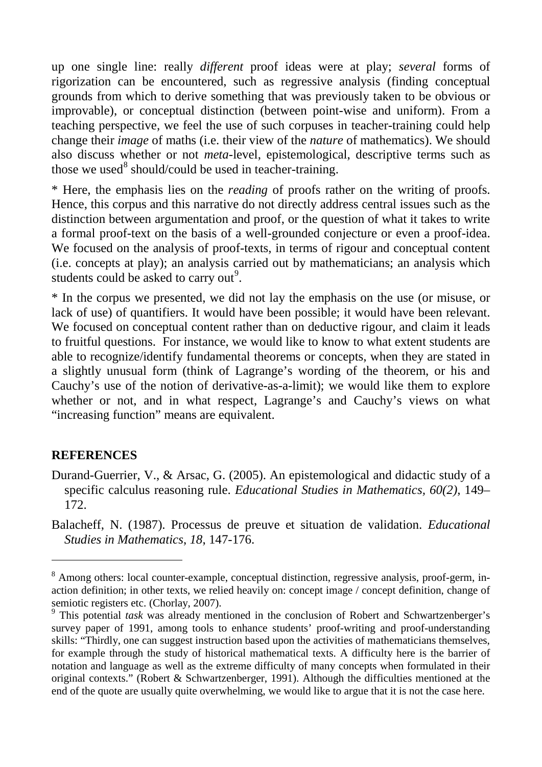up one single line: really *different* proof ideas were at play; *several* forms of rigorization can be encountered, such as regressive analysis (finding conceptual grounds from which to derive something that was previously taken to be obvious or improvable), or conceptual distinction (between point-wise and uniform). From a teaching perspective, we feel the use of such corpuses in teacher-training could help change their *image* of maths (i.e. their view of the *nature* of mathematics). We should also discuss whether or not *meta*-level, epistemological, descriptive terms such as those we used<sup>[8](#page-8-0)</sup> should/could be used in teacher-training.

\* Here, the emphasis lies on the *reading* of proofs rather on the writing of proofs. Hence, this corpus and this narrative do not directly address central issues such as the distinction between argumentation and proof, or the question of what it takes to write a formal proof-text on the basis of a well-grounded conjecture or even a proof-idea. We focused on the analysis of proof-texts, in terms of rigour and conceptual content (i.e. concepts at play); an analysis carried out by mathematicians; an analysis which students could be asked to carry out<sup>[9](#page-8-1)</sup>.

\* In the corpus we presented, we did not lay the emphasis on the use (or misuse, or lack of use) of quantifiers. It would have been possible; it would have been relevant. We focused on conceptual content rather than on deductive rigour, and claim it leads to fruitful questions. For instance, we would like to know to what extent students are able to recognize/identify fundamental theorems or concepts, when they are stated in a slightly unusual form (think of Lagrange's wording of the theorem, or his and Cauchy's use of the notion of derivative-as-a-limit); we would like them to explore whether or not, and in what respect, Lagrange's and Cauchy's views on what "increasing function" means are equivalent.

#### **REFERENCES**

-

- Durand-Guerrier, V., & Arsac, G. (2005). An epistemological and didactic study of a specific calculus reasoning rule. *Educational Studies in Mathematics, 60(2)*, 149– 172.
- Balacheff, N. (1987). Processus de preuve et situation de validation. *Educational Studies in Mathematics*, *18*, 147-176.

<span id="page-8-0"></span><sup>&</sup>lt;sup>8</sup> Among others: local counter-example, conceptual distinction, regressive analysis, proof-germ, inaction definition; in other texts, we relied heavily on: concept image / concept definition, change of semiotic registers etc. (Chorlay, 2007).<br><sup>9</sup> This potential *task* was already mentioned in the conclusion of Robert and Schwartzenberger's

<span id="page-8-1"></span>survey paper of 1991, among tools to enhance students' proof-writing and proof-understanding skills: "Thirdly, one can suggest instruction based upon the activities of mathematicians themselves, for example through the study of historical mathematical texts. A difficulty here is the barrier of notation and language as well as the extreme difficulty of many concepts when formulated in their original contexts." (Robert & Schwartzenberger, 1991). Although the difficulties mentioned at the end of the quote are usually quite overwhelming, we would like to argue that it is not the case here.